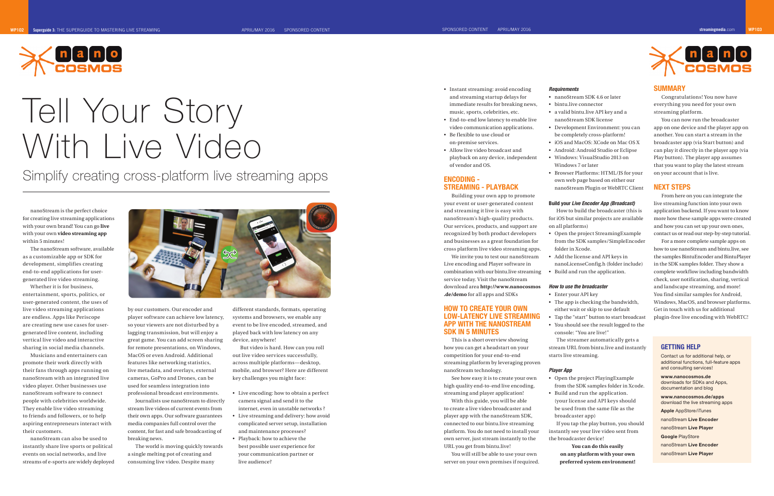

nanoStream is the perfect choice for creating live streaming applications with your own brand! You can go **live** with your own **video streaming app** within 5 minutes!

The nanoStream software, available as a customizable app or SDK for development, simplifies creating end-to-end applications for usergenerated live video streaming.

Whether it is for business, entertainment, sports, politics, or user-generated content, the uses of live video streaming applications are endless. Apps like Periscope are creating new use cases for usergenerated live content, including vertical live video and interactive sharing in social media channels.

Musicians and entertainers can promote their work directly with their fans through apps running on nanoStream with an integrated live video player. Other businesses use nanoStream software to connect people with celebrities worldwide. They enable live video streaming to friends and followers, or to help aspiring entrepreneurs interact with their customers.

nanoStream can also be used to instantly share live sports or political events on social networks, and live streams of e-sports are widely deployed



by our customers. Our encoder and player software can achieve low latency, so your viewers are not disturbed by a lagging transmission, but will enjoy a great game. You can add screen sharing for remote presentations, on Windows, MacOS or even Android. Additional features like networking statistics, live metadata, and overlays, external cameras, GoPro and Drones, can be used for seamless integration into professional broadcast environments.

Journalists use nanoStream to directly stream live videos of current events from their own apps. Our software guarantees media companies full control over the content, for fast and safe broadcasting of breaking news.

The world is moving quickly towards a single melting pot of creating and consuming live video. Despite many

different standards, formats, operating systems and browsers, we enable any event to be live encoded, streamed, and played back with low latency on any device, anywhere!

But video is hard. How can you roll out live video services successfully, across multiple platforms—desktop, mobile, and browser? Here are different key challenges you might face:

- Live encoding: how to obtain a perfect camera signal and send it to the internet, even in unstable networks ?
- Live streaming and delivery: how avoid complicated server setup, installation and maintenance processes?
- Playback: how to achieve the best possible user experience for your communication partner or live audience?

# Tell Your Story With Live Video

Simplify creating cross-platform live streaming apps

- Instant streaming: avoid encoding and streaming startup delays for immediate results for breaking news,
- music, sports, celebrities, etc. • End-to-end low latency to enable live video communication applications.
- Be flexible to use cloud or on-premise services.
- Allow live video broadcast and playback on any device, independent of vendor and OS.

#### **ENCODING - STREAMING - PLAYBACK**

Building your own app to promote your event or user-generated content and streaming it live is easy with nanoStream's high-quality products. Our services, products, and support are recognized by both product developers and businesses as a great foundation for cross platform live video streaming apps.

We invite you to test our nanoStream Live encoding and Player software in combination with our bintu.live streaming service today. Visit the nanoStream [download area](http://www.nanocosmos.de/v4/order/?demo=yes) **[http://www.nanocosmos](http://www.nanocosmos.de/demo)**

**[.de/demo](http://www.nanocosmos.de/demo)** for all apps and SDKs

#### **HOW TO CREATE YOUR OWN LOW-LATENCY LIVE STREAMING APP WITH THE NANOSTREAM SDK IN 5 MINUTES**

This is a short overview showing how you can get a headstart on your competition for your end-to-end streaming platform by leveraging proven nanoStream technology.

See how easy it is to create your own high quality end-to-end live encoding, streaming and player application!

With this guide, you will be able to create a live video broadcaster and player app with the nanoStream SDK, connected to our bintu.live streaming platform. You do not need to install your own server, just stream instantly to the URL you get from bintu.live!

You will still be able to use your own server on your own premises if required.

#### *Requirements*

• nanoStream SDK 4.6 or later • bintu.live connector

• a valid bintu.live API key and a

nanoStream SDK license • Development Environment: you can be completely cross-platform! • iOS and MacOS: XCode on Mac OS X • Android: Android Studio or Eclipse • Windows: VisualStudio 2013 on

Windows 7 or later • Browser Platforms: HTML/JS for your own web page based on either our nanoStream Plugin or WebRTC Client

#### **Build your** *Live Encoder App (Broadcast)*

How to build the broadcaster (this is for iOS but similar projects are available on all platforms)

• Open the project StreamingExample from the SDK samples/SimpleEncoder folder in Xcode.

• Add the license and API keys in nanoLicenseConfig.h (folder include) • Build and run the application.

#### *How to use the broadcaster*

• Enter your API key

• The app is checking the bandwidth, either wait or skip to use default • Tap the "start" button to start broadcast • You should see the result logged to the console: "You are live!"

The streamer automatically gets a stream URL from bintu.live and instantly starts live streaming.

#### *Player App*

• Open the project PlayingExample from the SDK samples folder in Xcode. • Build and run the application.

(your license and API keys should be used from the same file as the broadcaster app)

If you tap the play button, you should instantly see your live video sent from

the broadcaster device! **You can do this easily on any platform with your own preferred system environment!**



#### **SUMMARY**

Congratulations! You now have everything you need for your own streaming platform.

You can now run the broadcaster app on one device and the player app on another. You can start a stream in the broadcaster app (via Start button) and can play it directly in the player app (via Play button). The player app assumes that you want to play the latest stream on your account that is live.

#### **NEXT STEPS**

From here on you can integrate the live streaming function into your own application backend. If you want to know more how these sample apps were created and how you can set up your own ones, contact us or read our step-by-step tutorial.

For a more complete sample apps on how to use nanoStream and bintu.live, see the samples BintuEncoder and BintuPlayer in the SDK samples folder. They show a complete workflow including bandwidth check, user notification, sharing, vertical and landscape streaming, and more! You find similar samples for Android, Windows, MacOS, and browser platforms. Get in touch with us for additional plugin-free live encoding with WebRTC!

#### **GETTING HELP**

Contact us for additional help, or additional functions, full-feature apps and consulting services!

**[www.nanocosmos.de](http://www.nanocosmos.de)** downloads for SDKs and Apps, documentation and blog

**[www.nanocosmos.de/apps](http://www.nanocosmos.de/apps)** [download the live streaming apps](http://www.nanocosmos.de/apps)

**Apple** [AppStore/iTunes](https://itunes.apple.com/us/genre/ios/id36?mt=8)

nanoStream **[Live Encoder](https://itunes.apple.com/nl/app/nanostream-live-video-encoder/id821832862?mt=8)**

nanoStream **[Live Player](https://itunes.apple.com/de/app/nanostream-live-video-player/id1037315622?mt=8)**

**Google** PlayStore

nanoStream **[Live Encoder](https://play.google.com/store/apps/details?id=net.nanocosmos.nanoStream&hl=nl)**

nanoStream **[Live Player](https://play.google.com/store/apps/details?id=net.nanocosmos.nanoStream)**